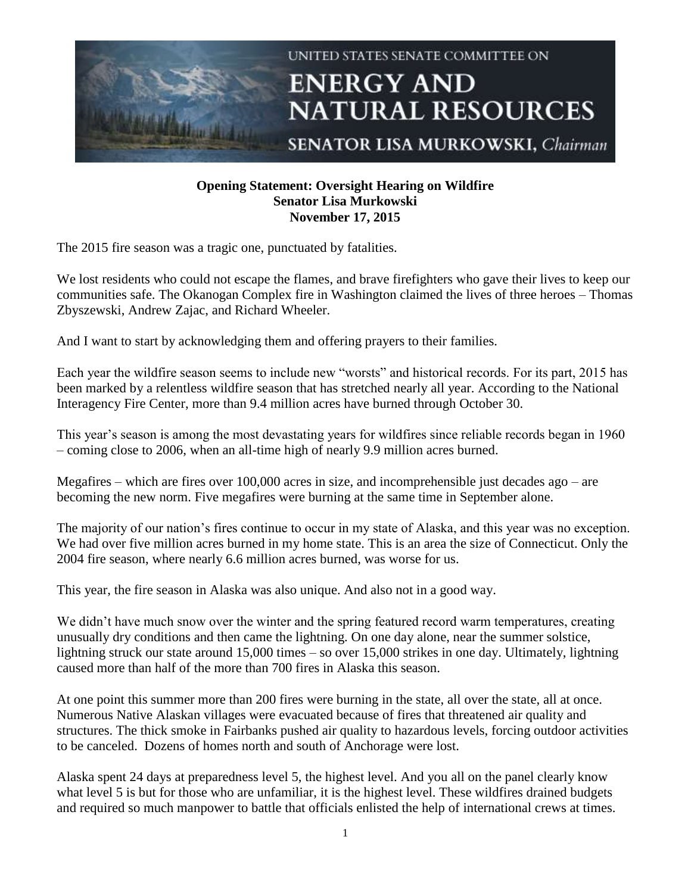

## **Opening Statement: Oversight Hearing on Wildfire Senator Lisa Murkowski November 17, 2015**

The 2015 fire season was a tragic one, punctuated by fatalities.

We lost residents who could not escape the flames, and brave firefighters who gave their lives to keep our communities safe. The Okanogan Complex fire in Washington claimed the lives of three heroes – Thomas Zbyszewski, Andrew Zajac, and Richard Wheeler.

And I want to start by acknowledging them and offering prayers to their families.

Each year the wildfire season seems to include new "worsts" and historical records. For its part, 2015 has been marked by a relentless wildfire season that has stretched nearly all year. According to the National Interagency Fire Center, more than 9.4 million acres have burned through October 30.

This year's season is among the most devastating years for wildfires since reliable records began in 1960 – coming close to 2006, when an all-time high of nearly 9.9 million acres burned.

Megafires – which are fires over 100,000 acres in size, and incomprehensible just decades ago – are becoming the new norm. Five megafires were burning at the same time in September alone.

The majority of our nation's fires continue to occur in my state of Alaska, and this year was no exception. We had over five million acres burned in my home state. This is an area the size of Connecticut. Only the 2004 fire season, where nearly 6.6 million acres burned, was worse for us.

This year, the fire season in Alaska was also unique. And also not in a good way.

We didn't have much snow over the winter and the spring featured record warm temperatures, creating unusually dry conditions and then came the lightning. On one day alone, near the summer solstice, lightning struck our state around 15,000 times – so over 15,000 strikes in one day. Ultimately, lightning caused more than half of the more than 700 fires in Alaska this season.

At one point this summer more than 200 fires were burning in the state, all over the state, all at once. Numerous Native Alaskan villages were evacuated because of fires that threatened air quality and structures. The thick smoke in Fairbanks pushed air quality to hazardous levels, forcing outdoor activities to be canceled. Dozens of homes north and south of Anchorage were lost.

Alaska spent 24 days at preparedness level 5, the highest level. And you all on the panel clearly know what level 5 is but for those who are unfamiliar, it is the highest level. These wildfires drained budgets and required so much manpower to battle that officials enlisted the help of international crews at times.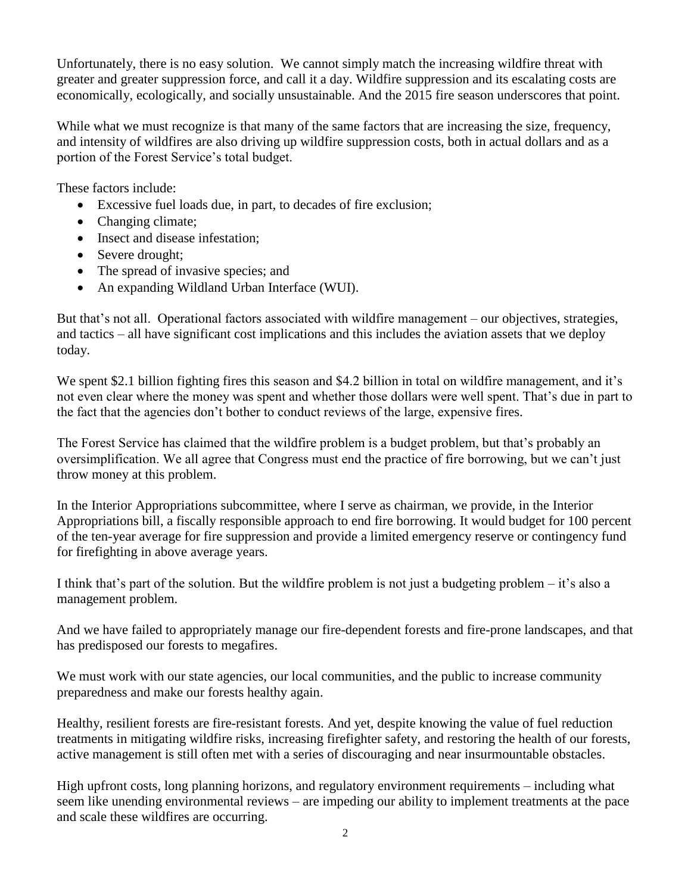Unfortunately, there is no easy solution. We cannot simply match the increasing wildfire threat with greater and greater suppression force, and call it a day. Wildfire suppression and its escalating costs are economically, ecologically, and socially unsustainable. And the 2015 fire season underscores that point.

While what we must recognize is that many of the same factors that are increasing the size, frequency, and intensity of wildfires are also driving up wildfire suppression costs, both in actual dollars and as a portion of the Forest Service's total budget.

These factors include:

- Excessive fuel loads due, in part, to decades of fire exclusion;
- Changing climate;
- Insect and disease infestation;
- Severe drought;
- The spread of invasive species; and
- An expanding Wildland Urban Interface (WUI).

But that's not all. Operational factors associated with wildfire management – our objectives, strategies, and tactics – all have significant cost implications and this includes the aviation assets that we deploy today.

We spent \$2.1 billion fighting fires this season and \$4.2 billion in total on wildfire management, and it's not even clear where the money was spent and whether those dollars were well spent. That's due in part to the fact that the agencies don't bother to conduct reviews of the large, expensive fires.

The Forest Service has claimed that the wildfire problem is a budget problem, but that's probably an oversimplification. We all agree that Congress must end the practice of fire borrowing, but we can't just throw money at this problem.

In the Interior Appropriations subcommittee, where I serve as chairman, we provide, in the Interior Appropriations bill, a fiscally responsible approach to end fire borrowing. It would budget for 100 percent of the ten-year average for fire suppression and provide a limited emergency reserve or contingency fund for firefighting in above average years.

I think that's part of the solution. But the wildfire problem is not just a budgeting problem – it's also a management problem.

And we have failed to appropriately manage our fire-dependent forests and fire-prone landscapes, and that has predisposed our forests to megafires.

We must work with our state agencies, our local communities, and the public to increase community preparedness and make our forests healthy again.

Healthy, resilient forests are fire-resistant forests. And yet, despite knowing the value of fuel reduction treatments in mitigating wildfire risks, increasing firefighter safety, and restoring the health of our forests, active management is still often met with a series of discouraging and near insurmountable obstacles.

High upfront costs, long planning horizons, and regulatory environment requirements – including what seem like unending environmental reviews – are impeding our ability to implement treatments at the pace and scale these wildfires are occurring.